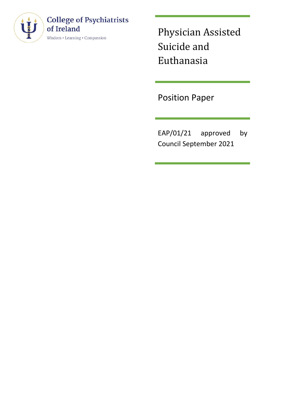

# **College of Psychiatrists** of Ireland

 $\text{Wisdom}\bm{\cdot} \text{Learning} \bm{\cdot} \text{Comparison}$ 

Physician Assisted Suicide and Euthanasia

Position Paper

EAP/01/21 approved by Council September 2021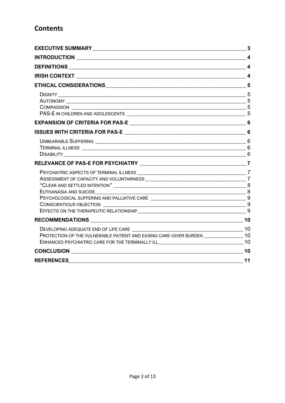## **Contents**

| EXECUTIVE SUMMARY 3                                                                                                                                                                                                                                                                                                      |    |
|--------------------------------------------------------------------------------------------------------------------------------------------------------------------------------------------------------------------------------------------------------------------------------------------------------------------------|----|
|                                                                                                                                                                                                                                                                                                                          |    |
|                                                                                                                                                                                                                                                                                                                          |    |
|                                                                                                                                                                                                                                                                                                                          |    |
|                                                                                                                                                                                                                                                                                                                          |    |
|                                                                                                                                                                                                                                                                                                                          | 5  |
|                                                                                                                                                                                                                                                                                                                          |    |
|                                                                                                                                                                                                                                                                                                                          |    |
|                                                                                                                                                                                                                                                                                                                          |    |
|                                                                                                                                                                                                                                                                                                                          |    |
| PSYCHIATRIC ASPECTS OF TERMINAL ILLNESS <b>with an architecture of the COVID-12 COVID-2</b> 7<br>"CLEAR AND SETTLED INTENTION" $\_\_$<br>$\overline{\phantom{a}8}$<br>EUTHANASIA AND SUICIDE<br>EFFECTS ON THE THERAPEUTIC RELATIONSHIP <b>And Construct Construct Construct Construct Construct Construct Construct</b> |    |
|                                                                                                                                                                                                                                                                                                                          |    |
| PROTECTION OF THE VULNERABLE PATIENT AND EASING CARE-GIVER BURDEN ____________________10                                                                                                                                                                                                                                 |    |
|                                                                                                                                                                                                                                                                                                                          |    |
| <b>REFERENCES</b>                                                                                                                                                                                                                                                                                                        | 11 |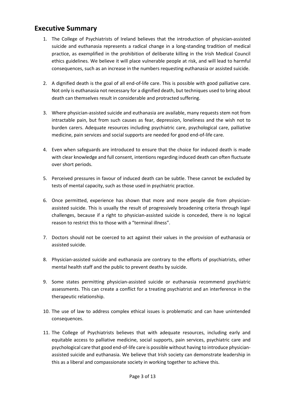### <span id="page-2-0"></span>**Executive Summary**

- 1. The College of Psychiatrists of Ireland believes that the introduction of physician-assisted suicide and euthanasia represents a radical change in a long-standing tradition of medical practice, as exemplified in the prohibition of deliberate killing in the Irish Medical Council ethics guidelines. We believe it will place vulnerable people at risk, and will lead to harmful consequences, such as an increase in the numbers requesting euthanasia or assisted suicide.
- 2. A dignified death is the goal of all end-of-life care. This is possible with good palliative care. Not only is euthanasia not necessary for a dignified death, but techniques used to bring about death can themselves result in considerable and protracted suffering.
- 3. Where physician-assisted suicide and euthanasia are available, many requests stem not from intractable pain, but from such causes as fear, depression, loneliness and the wish not to burden carers. Adequate resources including psychiatric care, psychological care, palliative medicine, pain services and social supports are needed for good end-of-life care.
- 4. Even when safeguards are introduced to ensure that the choice for induced death is made with clear knowledge and full consent, intentions regarding induced death can often fluctuate over short periods.
- 5. Perceived pressures in favour of induced death can be subtle. These cannot be excluded by tests of mental capacity, such as those used in psychiatric practice.
- 6. Once permitted, experience has shown that more and more people die from physicianassisted suicide. This is usually the result of progressively broadening criteria through legal challenges, because if a right to physician-assisted suicide is conceded, there is no logical reason to restrict this to those with a "terminal illness".
- 7. Doctors should not be coerced to act against their values in the provision of euthanasia or assisted suicide.
- 8. Physician-assisted suicide and euthanasia are contrary to the efforts of psychiatrists, other mental health staff and the public to prevent deaths by suicide.
- 9. Some states permitting physician-assisted suicide or euthanasia recommend psychiatric assessments. This can create a conflict for a treating psychiatrist and an interference in the therapeutic relationship.
- 10. The use of law to address complex ethical issues is problematic and can have unintended consequences.
- 11. The College of Psychiatrists believes that with adequate resources, including early and equitable access to palliative medicine, social supports, pain services, psychiatric care and psychological care that good end-of-life care is possible without having to introduce physicianassisted suicide and euthanasia. We believe that Irish society can demonstrate leadership in this as a liberal and compassionate society in working together to achieve this.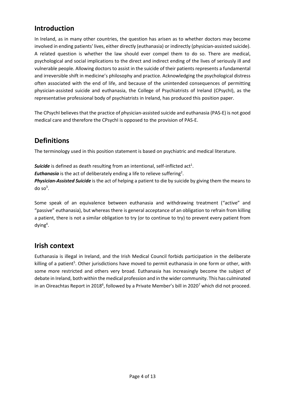## <span id="page-3-0"></span>**Introduction**

In Ireland, as in many other countries, the question has arisen as to whether doctors may become involved in ending patients' lives, either directly (euthanasia) or indirectly (physician-assisted suicide). A related question is whether the law should ever compel them to do so. There are medical, psychological and social implications to the direct and indirect ending of the lives of seriously ill and vulnerable people. Allowing doctors to assist in the suicide of their patients represents a fundamental and irreversible shift in medicine's philosophy and practice. Acknowledging the psychological distress often associated with the end of life, and because of the unintended consequences of permitting physician-assisted suicide and euthanasia, the College of Psychiatrists of Ireland (CPsychI), as the representative professional body of psychiatrists in Ireland, has produced this position paper.

The CPsychI believes that the practice of physician-assisted suicide and euthanasia (PAS-E) is not good medical care and therefore the CPsychI is opposed to the provision of PAS-E.

## <span id="page-3-1"></span>**Definitions**

The terminology used in this position statement is based on psychiatric and medical literature.

**Suicide** is defined as death resulting from an intentional, self-inflicted act<sup>1</sup>.

**Euthanasia** is the act of deliberately ending a life to relieve suffering<sup>2</sup>.

*Physician-Assisted Suicide* is the act of helping a patient to die by suicide by giving them the means to do so $3$ .

Some speak of an equivalence between euthanasia and withdrawing treatment ("active" and "passive" euthanasia), but whereas there is general acceptance of an obligation to refrain from killing a patient, there is not a similar obligation to try (or to continue to try) to prevent every patient from dying<sup>4</sup>.

## <span id="page-3-2"></span>**Irish context**

Euthanasia is illegal in Ireland, and the Irish Medical Council forbids participation in the deliberate killing of a patient<sup>5</sup>. Other jurisdictions have moved to permit euthanasia in one form or other, with some more restricted and others very broad. Euthanasia has increasingly become the subject of debate in Ireland, both within the medical profession and in the wider community. This has culminated in an Oireachtas Report in 2018<sup>6</sup>, followed by a Private Member's bill in 2020<sup>7</sup> which did not proceed.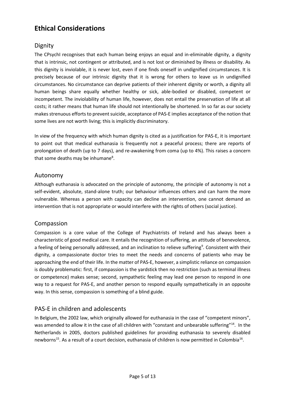## <span id="page-4-0"></span>**Ethical Considerations**

### <span id="page-4-1"></span>Dignity

The CPsychI recognises that each human being enjoys an equal and in-eliminable dignity, a dignity that is intrinsic, not contingent or attributed, and is not lost or diminished by illness or disability. As this dignity is inviolable, it is never lost, even if one finds oneself in undignified circumstances. It is precisely because of our intrinsic dignity that it is wrong for others to leave us in undignified circumstances. No circumstance can deprive patients of their inherent dignity or worth, a dignity all human beings share equally whether healthy or sick, able-bodied or disabled, competent or incompetent. The inviolability of human life, however, does not entail the preservation of life at all costs; it rather means that human life should not intentionally be shortened. In so far as our society makes strenuous efforts to prevent suicide, acceptance of PAS-E implies acceptance of the notion that some lives are not worth living; this is implicitly discriminatory.

In view of the frequency with which human dignity is cited as a justification for PAS-E, it is important to point out that medical euthanasia is frequently not a peaceful process; there are reports of prolongation of death (up to 7 days), and re‐awakening from coma (up to 4%). This raises a concern that some deaths may be inhumane $^8$ .

#### <span id="page-4-2"></span>Autonomy

Although euthanasia is advocated on the principle of autonomy, the principle of autonomy is not a self-evident, absolute, stand-alone truth; our behaviour influences others and can harm the more vulnerable. Whereas a person with capacity can decline an intervention, one cannot demand an intervention that is not appropriate or would interfere with the rights of others (social justice).

#### <span id="page-4-3"></span>Compassion

Compassion is a core value of the College of Psychiatrists of Ireland and has always been a characteristic of good medical care. It entails the recognition of suffering, an attitude of benevolence, a feeling of being personally addressed, and an inclination to relieve suffering<sup>9</sup>. Consistent with their dignity, a compassionate doctor tries to meet the needs and concerns of patients who may be approaching the end of their life. In the matter of PAS-E, however, a simplistic reliance on compassion is doubly problematic: first, if compassion is the yardstick then no restriction (such as terminal illness or competence) makes sense; second, sympathetic feeling may lead one person to respond in one way to a request for PAS-E, and another person to respond equally sympathetically in an opposite way. In this sense, compassion is something of a blind guide.

#### <span id="page-4-4"></span>PAS-E in children and adolescents

In Belgium, the 2002 law, which originally allowed for euthanasia in the case of "competent minors", was amended to allow it in the case of all children with "constant and unbearable suffering"<sup>14</sup>. In the Netherlands in 2005, doctors published guidelines for providing euthanasia to severely disabled newborns<sup>15</sup>. As a result of a court decision, euthanasia of children is now permitted in Colombia<sup>16</sup>.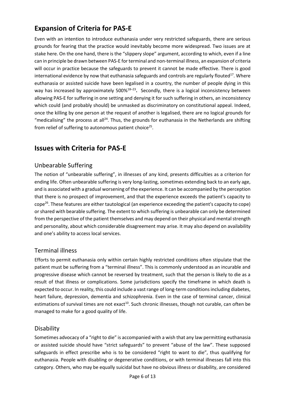# <span id="page-5-0"></span>**Expansion of Criteria for PAS-E**

Even with an intention to introduce euthanasia under very restricted safeguards, there are serious grounds for fearing that the practice would inevitably become more widespread. Two issues are at stake here. On the one hand, there is the "slippery slope" argument, according to which, even if a line can in principle be drawn between PAS-E for terminal and non-terminal illness, an expansion of criteria will occur in practice because the safeguards to prevent it cannot be made effective. There is good international evidence by now that euthanasia safeguards and controls are regularly flouted $^{17}$ . Where euthanasia or assisted suicide have been legalised in a country, the number of people dying in this way has increased by approximately 500%<sup>18</sup>–<sup>23</sup> **.** Secondly, there is a logical inconsistency between allowing PAS-E for suffering in one setting and denying it for such suffering in others, an inconsistency which could (and probably should) be unmasked as discriminatory on constitutional appeal. Indeed, once the killing by one person at the request of another is legalised, there are no logical grounds for "medicalising" the process at all<sup>24</sup>. Thus, the grounds for euthanasia in the Netherlands are shifting from relief of suffering to autonomous patient choice $^{25}$ .

## <span id="page-5-1"></span>**Issues with Criteria for PAS-E**

#### <span id="page-5-2"></span>Unbearable Suffering

The notion of "unbearable suffering", in illnesses of any kind, presents difficulties as a criterion for ending life. Often unbearable suffering is very long-lasting, sometimes extending back to an early age, and is associated with a gradual worsening of the experience. It can be accompanied by the perception that there is no prospect of improvement, and that the experience exceeds the patient's capacity to cope<sup>26</sup>. These features are either tautological (an experience exceeding the patient's capacity to cope) or shared with bearable suffering. The extent to which suffering is unbearable can only be determined from the perspective of the patient themselves and may depend on their physical and mental strength and personality, about which considerable disagreement may arise. It may also depend on availability and one's ability to access local services.

#### <span id="page-5-3"></span>Terminal illness

Efforts to permit euthanasia only within certain highly restricted conditions often stipulate that the patient must be suffering from a "terminal illness". This is commonly understood as an incurable and progressive disease which cannot be reversed by treatment, such that the person is likely to die as a result of that illness or complications. Some jurisdictions specify the timeframe in which death is expected to occur. In reality, this could include a vast range of long-term conditions including diabetes, heart failure, depression, dementia and schizophrenia. Even in the case of terminal cancer, clinical estimations of survival times are not exact<sup>10</sup>. Such chronic illnesses, though not curable, can often be managed to make for a good quality of life.

#### <span id="page-5-4"></span>**Disability**

Sometimes advocacy of a "right to die" is accompanied with a wish that any law permitting euthanasia or assisted suicide should have "strict safeguards" to prevent "abuse of the law". These supposed safeguards in effect prescribe who is to be considered "right to want to die", thus qualifying for euthanasia. People with disabling or degenerative conditions, or with terminal illnesses fall into this category. Others, who may be equally suicidal but have no obvious illness or disability, are considered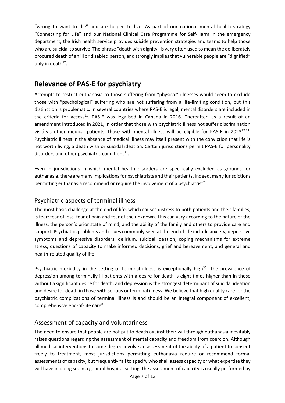"wrong to want to die" and are helped to live. As part of our national mental health strategy "Connecting for Life" and our National Clinical Care Programme for Self-Harm in the emergency department, the Irish health service provides suicide prevention strategies and teams to help those who are suicidal to survive. The phrase "death with dignity" is very often used to mean the deliberately procured death of an ill or disabled person, and strongly implies that vulnerable people are "dignified" only in death<sup>27</sup>.

## <span id="page-6-0"></span>**Relevance of PAS-E for psychiatry**

Attempts to restrict euthanasia to those suffering from "physical" illnesses would seem to exclude those with "psychological" suffering who are not suffering from a life-limiting condition, but this distinction is problematic. In several countries where PAS-E is legal, mental disorders are included in the criteria for access<sup>11</sup>. PAS-E was legalised in Canada in 2016. Thereafter, as a result of an amendment introduced in 2021, in order that those with psychiatric illness not suffer discrimination vis-á-vis other medical patients, those with mental illness will be eligible for PAS-E in 2023 $^{12,13}$ . Psychiatric illness in the absence of medical illness may itself present with the conviction that life is not worth living, a death wish or suicidal ideation. Certain jurisdictions permit PAS-E for personality disorders and other psychiatric conditions $^{11}$ .

Even in jurisdictions in which mental health disorders are specifically excluded as grounds for euthanasia, there are many implications for psychiatrists and their patients. Indeed, many jurisdictions permitting euthanasia recommend or require the involvement of a psychiatrist<sup>28</sup>.

#### <span id="page-6-1"></span>Psychiatric aspects of terminal illness

The most basic challenge at the end of life, which causes distress to both patients and their families, is fear: fear of loss, fear of pain and fear of the unknown. This can vary according to the nature of the illness, the person's prior state of mind, and the ability of the family and others to provide care and support. Psychiatric problems and issues commonly seen at the end of life include anxiety, depressive symptoms and depressive disorders, delirium, suicidal ideation, coping mechanisms for extreme stress, questions of capacity to make informed decisions, grief and bereavement, and general and health-related quality of life.

Psychiatric morbidity in the setting of terminal illness is exceptionally high $30$ . The prevalence of depression among terminally ill patients with a desire for death is eight times higher than in those without a significant desire for death, and depression is the strongest determinant of suicidal ideation and desire for death in those with serious or terminal illness. We believe that high quality care for the psychiatric complications of terminal illness is and should be an integral component of excellent, comprehensive end-of-life care<sup>8</sup>.

#### <span id="page-6-2"></span>Assessment of capacity and voluntariness

The need to ensure that people are not put to death against their will through euthanasia inevitably raises questions regarding the assessment of mental capacity and freedom from coercion. Although all medical interventions to some degree involve an assessment of the ability of a patient to consent freely to treatment, most jurisdictions permitting euthanasia require or recommend formal assessments of capacity, but frequently fail to specify who shall assess capacity or what expertise they will have in doing so. In a general hospital setting, the assessment of capacity is usually performed by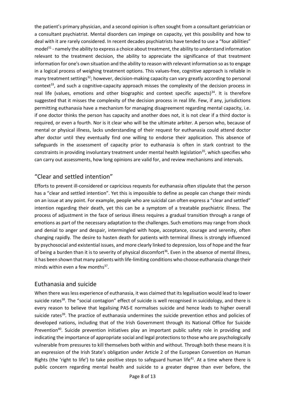the patient's primary physician, and a second opinion is often sought from a consultant geriatrician or a consultant psychiatrist. Mental disorders can impinge on capacity, yet this possibility and how to deal with it are rarely considered. In recent decades psychiatrists have tended to use a "four abilities" model<sup>31</sup> - namely the ability to express a choice about treatment, the ability to understand information relevant to the treatment decision, the ability to appreciate the significance of that treatment information for one's own situation and the ability to reason with relevant information so as to engage in a logical process of weighing treatment options. This values-free, cognitive approach is reliable in many treatment settings<sup>32</sup>; however, decision-making capacity can vary greatly according to personal context<sup>33</sup>, and such a cognitive-capacity approach misses the complexity of the decision process in real life (values, emotions and other biographic and context specific aspects)<sup>34</sup>. It is therefore suggested that it misses the complexity of the decision process in real life. Few, if any, jurisdictions permitting euthanasia have a mechanism for managing disagreement regarding mental capacity, i.e. if one doctor thinks the person has capacity and another does not, it is not clear if a third doctor is required, or even a fourth. Nor is it clear who will be the ultimate arbiter. A person who, because of mental or physical illness, lacks understanding of their request for euthanasia could attend doctor after doctor until they eventually find one willing to endorse their application. This absence of safeguards in the assessment of capacity prior to euthanasia is often in stark contrast to the constraints in providing involuntary treatment under mental health legislation<sup>35</sup>, which specifies who can carry out assessments, how long opinions are valid for, and review mechanisms and intervals.

#### <span id="page-7-0"></span>"Clear and settled intention"

Efforts to prevent ill-considered or capricious requests for euthanasia often stipulate that the person has a "clear and settled intention". Yet this is impossible to define as people can change their minds on an issue at any point. For example, people who are suicidal can often express a "clear and settled" intention regarding their death, yet this can be a symptom of a treatable psychiatric illness. The process of adjustment in the face of serious illness requires a gradual transition through a range of emotions as part of the necessary adaptation to the challenges. Such emotions may range from shock and denial to anger and despair, intermingled with hope, acceptance, courage and serenity, often changing rapidly. The desire to hasten death for patients with terminal illness is strongly influenced by psychosocial and existential issues, and more clearly linked to depression, loss of hope and the fear of being a burden than it is to severity of physical discomfort<sup>36</sup>. Even in the absence of mental illness, it has been shown that many patients with life-limiting conditions who choose euthanasia change their minds within even a few months<sup>37</sup>.

#### <span id="page-7-1"></span>Euthanasia and suicide

When there was less experience of euthanasia, it was claimed that its legalisation would lead to lower suicide rates<sup>38</sup>. The "social contagion" effect of suicide is well recognised in suicidology, and there is every reason to believe that legalising PAS-E normalises suicide and hence leads to higher overall suicide rates<sup>39</sup>. The practice of euthanasia undermines the suicide prevention ethos and policies of developed nations, including that of the Irish Government through its National Office for Suicide Prevention<sup>40</sup>. Suicide prevention initiatives play an important public safety role in providing and indicating the importance of appropriate social and legal protections to those who are psychologically vulnerable from pressures to kill themselves both within and without. Through both these means it is an expression of the Irish State's obligation under Article 2 of the European Convention on Human Rights (the 'right to life') to take positive steps to safeguard human life<sup>41</sup>. At a time where there is public concern regarding mental health and suicide to a greater degree than ever before, the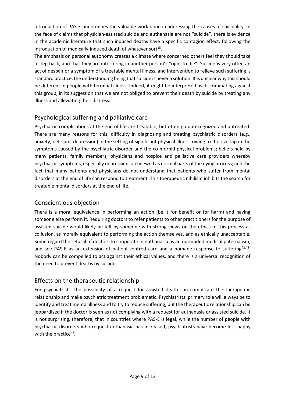introduction of PAS-E undermines the valuable work done in addressing the causes of suicidality. In the face of claims that physician-assisted suicide and euthanasia are not "suicide", there is evidence in the academic literature that such induced deaths have a specific contagion effect, following the introduction of medically-induced death of whatever  $\mathsf{sort}^{18}.$ 

The emphasis on personal autonomy creates a climate where concerned others feel they should take a step back, and that they are interfering in another person's "right to die". Suicide is very often an act of despair or a symptom of a treatable mental illness, and intervention to relieve such suffering is standard practice, the understanding being that suicide is never a solution. It is unclear why this should be different in people with terminal illness. Indeed, it might be interpreted as discriminating against this group, in its suggestion that we are not obliged to prevent their death by suicide by treating any illness and alleviating their distress.

### <span id="page-8-0"></span>Psychological suffering and palliative care

Psychiatric complications at the end of life are treatable, but often go unrecognized and untreated. There are many reasons for this: difficulty in diagnosing and treating psychiatric disorders (e.g., anxiety, delirium, depression) in the setting of significant physical illness, owing to the overlap in the symptoms caused by the psychiatric disorder and the co-morbid physical problems; beliefs held by many patients, family members, physicians and hospice and palliative care providers whereby psychiatric symptoms, especially depression, are viewed as normal parts of the dying process; and the fact that many patients and physicians do not understand that patients who suffer from mental disorders at the end of life can respond to treatment. This therapeutic nihilism inhibits the search for treatable mental disorders at the end of life.

### <span id="page-8-1"></span>Conscientious objection

There is a moral equivalence in performing an action (be it for benefit or for harm) and having someone else perform it. Requiring doctors to refer patients to other practitioners for the purpose of assisted suicide would likely be felt by someone with strong views on the ethics of this process as collusion, as morally equivalent to performing the action themselves, and as ethically unacceptable. Some regard the refusal of doctors to cooperate in euthanasia as an outmoded medical paternalism, and see PAS-E as an extension of patient-centred care and a humane response to suffering<sup>42,43</sup>. Nobody can be compelled to act against their ethical values, and there is a universal recognition of the need to prevent deaths by suicide.

### <span id="page-8-2"></span>Effects on the therapeutic relationship

For psychiatrists, the possibility of a request for assisted death can complicate the therapeutic relationship and make psychiatric treatment problematic. Psychiatrists' primary role will always be to identify and treat mental illness and to try to reduce suffering, but the therapeutic relationship can be jeopardised if the doctor is seen as not complying with a request for euthanasia or assisted suicide. It is not surprising, therefore, that in countries where PAS-E is legal, while the number of people with psychiatric disorders who request euthanasia has increased, psychiatrists have become less happy with the practice<sup>47</sup>.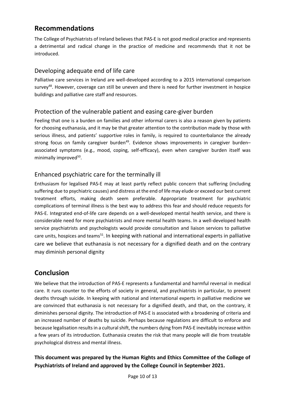## <span id="page-9-0"></span>**Recommendations**

The College of Psychiatrists of Ireland believes that PAS-E is not good medical practice and represents a detrimental and radical change in the practice of medicine and recommends that it not be introduced.

### <span id="page-9-1"></span>Developing adequate end of life care

Palliative care services in Ireland are well-developed according to a 2015 international comparison survey<sup>48</sup>. However, coverage can still be uneven and there is need for further investment in hospice buildings and palliative care staff and resources.

### <span id="page-9-2"></span>Protection of the vulnerable patient and easing care-giver burden

Feeling that one is a burden on families and other informal carers is also a reason given by patients for choosing euthanasia, and it may be that greater attention to the contribution made by those with serious illness, and patients' supportive roles in family, is required to counterbalance the already strong focus on family caregiver burden<sup>49</sup>. Evidence shows improvements in caregiver burden– associated symptoms (e.g., mood, coping, self-efficacy), even when caregiver burden itself was minimally improved<sup>50</sup>.

### <span id="page-9-3"></span>Enhanced psychiatric care for the terminally ill

Enthusiasm for legalised PAS-E may at least partly reflect public concern that suffering (including suffering due to psychiatric causes) and distress at the end of life may elude or exceed our best current treatment efforts, making death seem preferable. Appropriate treatment for psychiatric complications of terminal illness is the best way to address this fear and should reduce requests for PAS-E. Integrated end-of-life care depends on a well-developed mental health service, and there is considerable need for more psychiatrists and more mental health teams. In a well-developed health service psychiatrists and psychologists would provide consultation and liaison services to palliative care units, hospices and teams<sup>51</sup>. In keeping with national and international experts in palliative care we believe that euthanasia is not necessary for a dignified death and on the contrary may diminish personal dignity

## <span id="page-9-4"></span>**Conclusion**

We believe that the introduction of PAS-E represents a fundamental and harmful reversal in medical care. It runs counter to the efforts of society in general, and psychiatrists in particular, to prevent deaths through suicide. In keeping with national and international experts in palliative medicine we are convinced that euthanasia is not necessary for a dignified death, and that, on the contrary, it diminishes personal dignity. The introduction of PAS-E is associated with a broadening of criteria and an increased number of deaths by suicide. Perhaps because regulations are difficult to enforce and because legalisation results in a cultural shift, the numbers dying from PAS-E inevitably increase within a few years of its introduction. Euthanasia creates the risk that many people will die from treatable psychological distress and mental illness.

### **This document was prepared by the Human Rights and Ethics Committee of the College of Psychiatrists of Ireland and approved by the College Council in September 2021.**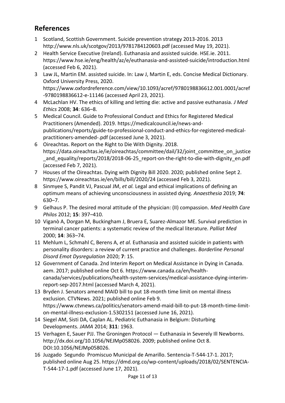## <span id="page-10-0"></span>**References**

- 1 Scotland, Scottish Government. Suicide prevention strategy 2013-2016. 2013 http://www.nls.uk/scotgov/2013/9781784120603.pdf (accessed May 19, 2021).
- 2 Health Service Executive (Ireland). Euthanasia and assisted suicide. HSE.ie. 2011. https://www.hse.ie/eng/health/az/e/euthanasia-and-assisted-suicide/introduction.html (accessed Feb 6, 2021).
- 3 Law JL, Martin EM. assisted suicide. In: Law J, Martin E, eds. Concise Medical Dictionary. Oxford University Press, 2020. https://www.oxfordreference.com/view/10.1093/acref/9780198836612.001.0001/acref -9780198836612-e-11146 (accessed April 23, 2021).
- 4 McLachlan HV. The ethics of killing and letting die: active and passive euthanasia. *J Med Ethics* 2008; **34**: 636–8.
- 5 Medical Council. Guide to Professional Conduct and Ethics for Registered Medical Practitioners (Amended). 2019. https://medicalcouncil.ie/news-andpublications/reports/guide-to-professional-conduct-and-ethics-for-registered-medicalpractitioners-amended-.pdf (accessed June 3, 2021).
- 6 Oireachtas. Report on the Right to Die With Dignity. 2018. https://data.oireachtas.ie/ie/oireachtas/committee/dail/32/joint\_committee\_on\_justice \_and\_equality/reports/2018/2018-06-25\_report-on-the-right-to-die-with-dignity\_en.pdf (accessed Feb 7, 2021).
- 7 Houses of the Oireachtas. Dying with Dignity Bill 2020. 2020; published online Sept 2. https://www.oireachtas.ie/en/bills/bill/2020/24 (accessed Feb 3, 2021).
- 8 Sinmyee S, Pandit VJ, Pascual JM, *et al.* Legal and ethical implications of defining an optimum means of achieving unconsciousness in assisted dying. *Anaesthesia* 2019; **74**: 630–7.
- 9 Gelhaus P. The desired moral attitude of the physician: (II) compassion. *Med Health Care Philos* 2012; **15**: 397–410.
- 10 Viganò A, Dorgan M, Buckingham J, Bruera E, Suarez-Almazor ME. Survival prediction in terminal cancer patients: a systematic review of the medical literature. *Palliat Med* 2000; **14**: 363–74.
- 11 Mehlum L, Schmahl C, Berens A, *et al.* Euthanasia and assisted suicide in patients with personality disorders: a review of current practice and challenges. *Borderline Personal Disord Emot Dysregulation* 2020; **7**: 15.
- 12 Government of Canada. 2nd Interim Report on Medical Assistance in Dying in Canada. aem. 2017; published online Oct 6. https://www.canada.ca/en/healthcanada/services/publications/health-system-services/medical-assistance-dying-interimreport-sep-2017.html (accessed March 4, 2021).
- 13 Bryden J. Senators amend MAID bill to put 18-month time limit on mental illness exclusion. CTVNews. 2021; published online Feb 9. https://www.ctvnews.ca/politics/senators-amend-maid-bill-to-put-18-month-time-limiton-mental-illness-exclusion-1.5302151 (accessed June 16, 2021).
- 14 Siegel AM, Sisti DA, Caplan AL. Pediatric Euthanasia in Belgium: Disturbing Developments. *JAMA* 2014; **311**: 1963.
- 15 Verhagen E, Sauer PJJ. The Groningen Protocol Euthanasia in Severely Ill Newborns. http://dx.doi.org/10.1056/NEJMp058026. 2009; published online Oct 8. DOI:10.1056/NEJMp058026.
- 16 Juzgado Segundo Promiscuo Municipal de Amarillo. Sentencia-T-544-17-1. 2017; published online Aug 25. https://dmd.org.co/wp-content/uploads/2018/02/SENTENCIA-T-544-17-1.pdf (accessed June 17, 2021).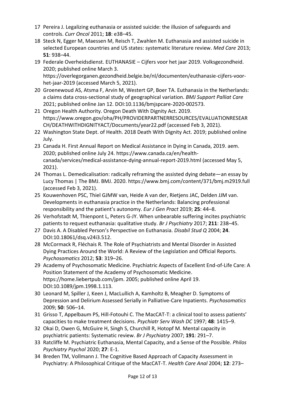- 17 Pereira J. Legalizing euthanasia or assisted suicide: the illusion of safeguards and controls. *Curr Oncol* 2011; **18**: e38–45.
- 18 Steck N, Egger M, Maessen M, Reisch T, Zwahlen M. Euthanasia and assisted suicide in selected European countries and US states: systematic literature review. *Med Care* 2013; **51**: 938–44.
- 19 Federale Overheidsdienst. EUTHANASIE Cijfers voor het jaar 2019. Volksgezondheid. 2020; published online March 3. https://overlegorganen.gezondheid.belgie.be/nl/documenten/euthanasie-cijfers-voorhet-jaar-2019 (accessed March 5, 2021).
- 20 Groenewoud AS, Atsma F, Arvin M, Westert GP, Boer TA. Euthanasia in the Netherlands: a claims data cross-sectional study of geographical variation. *BMJ Support Palliat Care* 2021; published online Jan 12. DOI:10.1136/bmjspcare-2020-002573.
- 21 Oregon Health Authority. Oregon Death With Dignity Act. 2019. https://www.oregon.gov/oha/PH/PROVIDERPARTNERRESOURCES/EVALUATIONRESEAR CH/DEATHWITHDIGNITYACT/Documents/year22.pdf (accessed Feb 3, 2021).
- 22 Washington State Dept. of Health. 2018 Death With Dignity Act. 2019; published online July.
- 23 Canada H. First Annual Report on Medical Assistance in Dying in Canada, 2019. aem. 2020; published online July 24. https://www.canada.ca/en/healthcanada/services/medical-assistance-dying-annual-report-2019.html (accessed May 5, 2021).
- 24 Thomas L. Demedicalisation: radically reframing the assisted dying debate—an essay by Lucy Thomas | The BMJ. BMJ. 2020. https://www.bmj.com/content/371/bmj.m2919.full (accessed Feb 3, 2021).
- 25 Kouwenhoven PSC, Thiel GJMW van, Heide A van der, Rietjens JAC, Delden JJM van. Developments in euthanasia practice in the Netherlands: Balancing professional responsibility and the patient's autonomy. *Eur J Gen Pract* 2019; **25**: 44–8.
- 26 Verhofstadt M, Thienpont L, Peters G-JY. When unbearable suffering incites psychiatric patients to request euthanasia: qualitative study. *Br J Psychiatry* 2017; **211**: 238–45.
- 27 Davis A. A Disabled Person's Perspective on Euthanasia. *Disabil Stud Q* 2004; **24**. DOI:10.18061/dsq.v24i3.512.
- 28 McCormack R, Fléchais R. The Role of Psychiatrists and Mental Disorder in Assisted Dying Practices Around the World: A Review of the Legislation and Official Reports. *Psychosomatics* 2012; **53**: 319–26.
- 29 Academy of Psychosomatic Medicine. Psychiatric Aspects of Excellent End-of-Life Care: A Position Statement of the Academy of Psychosomatic Medicine. https://home.liebertpub.com/jpm. 2005; published online April 19. DOI:10.1089/jpm.1998.1.113.
- 30 Leonard M, Spiller J, Keen J, MacLullich A, Kamholtz B, Meagher D. Symptoms of Depression and Delirium Assessed Serially in Palliative-Care Inpatients. *Psychosomatics* 2009; **50**: 506–14.
- 31 Grisso T, Appelbaum PS, Hill-Fotouhi C. The MacCAT-T: a clinical tool to assess patients' capacities to make treatment decisions. *Psychiatr Serv Wash DC* 1997; **48**: 1415–9.
- 32 Okai D, Owen G, McGuire H, Singh S, Churchill R, Hotopf M. Mental capacity in psychiatric patients: Systematic review. *Br J Psychiatry* 2007; **191**: 291–7.
- 33 Ratcliffe M. Psychiatric Euthanasia, Mental Capacity, and a Sense of the Possible. *Philos Psychiatry Psychol* 2020; **27**: E-1.
- 34 Breden TM, Vollmann J. The Cognitive Based Approach of Capacity Assessment in Psychiatry: A Philosophical Critique of the MacCAT-T. *Health Care Anal* 2004; **12**: 273–